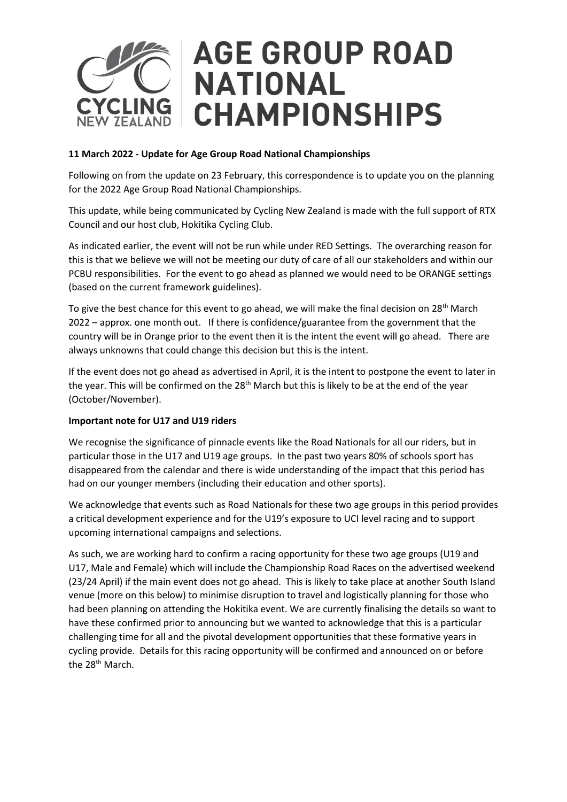

# **11 March 2022 - Update for Age Group Road National Championships**

Following on from the update on 23 February, this correspondence is to update you on the planning for the 2022 Age Group Road National Championships.

This update, while being communicated by Cycling New Zealand is made with the full support of RTX Council and our host club, Hokitika Cycling Club.

As indicated earlier, the event will not be run while under RED Settings. The overarching reason for this is that we believe we will not be meeting our duty of care of all our stakeholders and within our PCBU responsibilities. For the event to go ahead as planned we would need to be ORANGE settings (based on the current framework guidelines).

To give the best chance for this event to go ahead, we will make the final decision on 28<sup>th</sup> March 2022 – approx. one month out. If there is confidence/guarantee from the government that the country will be in Orange prior to the event then it is the intent the event will go ahead. There are always unknowns that could change this decision but this is the intent.

If the event does not go ahead as advertised in April, it is the intent to postpone the event to later in the year. This will be confirmed on the 28<sup>th</sup> March but this is likely to be at the end of the year (October/November).

#### **Important note for U17 and U19 riders**

We recognise the significance of pinnacle events like the Road Nationals for all our riders, but in particular those in the U17 and U19 age groups. In the past two years 80% of schools sport has disappeared from the calendar and there is wide understanding of the impact that this period has had on our younger members (including their education and other sports).

We acknowledge that events such as Road Nationals for these two age groups in this period provides a critical development experience and for the U19's exposure to UCI level racing and to support upcoming international campaigns and selections.

As such, we are working hard to confirm a racing opportunity for these two age groups (U19 and U17, Male and Female) which will include the Championship Road Races on the advertised weekend (23/24 April) if the main event does not go ahead. This is likely to take place at another South Island venue (more on this below) to minimise disruption to travel and logistically planning for those who had been planning on attending the Hokitika event. We are currently finalising the details so want to have these confirmed prior to announcing but we wanted to acknowledge that this is a particular challenging time for all and the pivotal development opportunities that these formative years in cycling provide. Details for this racing opportunity will be confirmed and announced on or before the 28<sup>th</sup> March.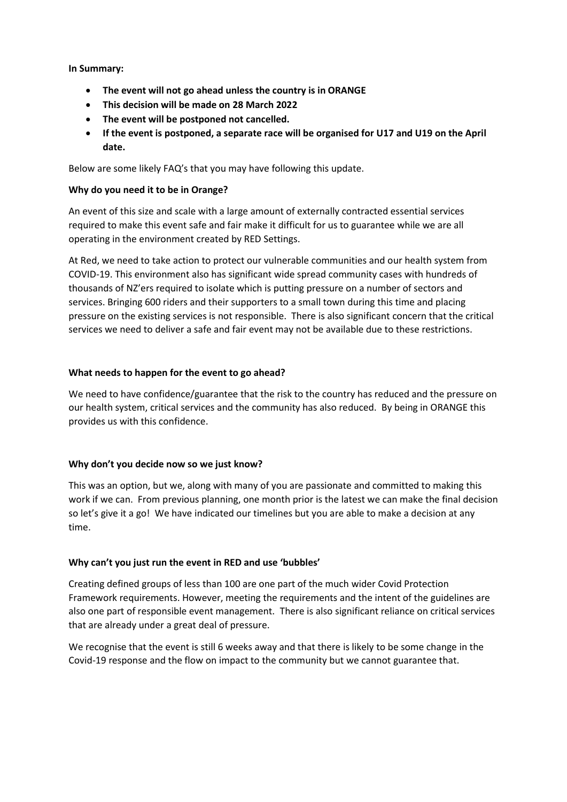### **In Summary:**

- **The event will not go ahead unless the country is in ORANGE**
- **This decision will be made on 28 March 2022**
- **The event will be postponed not cancelled.**
- **If the event is postponed, a separate race will be organised for U17 and U19 on the April date.**

Below are some likely FAQ's that you may have following this update.

### **Why do you need it to be in Orange?**

An event of this size and scale with a large amount of externally contracted essential services required to make this event safe and fair make it difficult for us to guarantee while we are all operating in the environment created by RED Settings.

At Red, we need to take action to protect our vulnerable communities and our health system from COVID-19. This environment also has significant wide spread community cases with hundreds of thousands of NZ'ers required to isolate which is putting pressure on a number of sectors and services. Bringing 600 riders and their supporters to a small town during this time and placing pressure on the existing services is not responsible. There is also significant concern that the critical services we need to deliver a safe and fair event may not be available due to these restrictions.

### **What needs to happen for the event to go ahead?**

We need to have confidence/guarantee that the risk to the country has reduced and the pressure on our health system, critical services and the community has also reduced. By being in ORANGE this provides us with this confidence.

#### **Why don't you decide now so we just know?**

This was an option, but we, along with many of you are passionate and committed to making this work if we can. From previous planning, one month prior is the latest we can make the final decision so let's give it a go! We have indicated our timelines but you are able to make a decision at any time.

# **Why can't you just run the event in RED and use 'bubbles'**

Creating defined groups of less than 100 are one part of the much wider Covid Protection Framework requirements. However, meeting the requirements and the intent of the guidelines are also one part of responsible event management. There is also significant reliance on critical services that are already under a great deal of pressure.

We recognise that the event is still 6 weeks away and that there is likely to be some change in the Covid-19 response and the flow on impact to the community but we cannot guarantee that.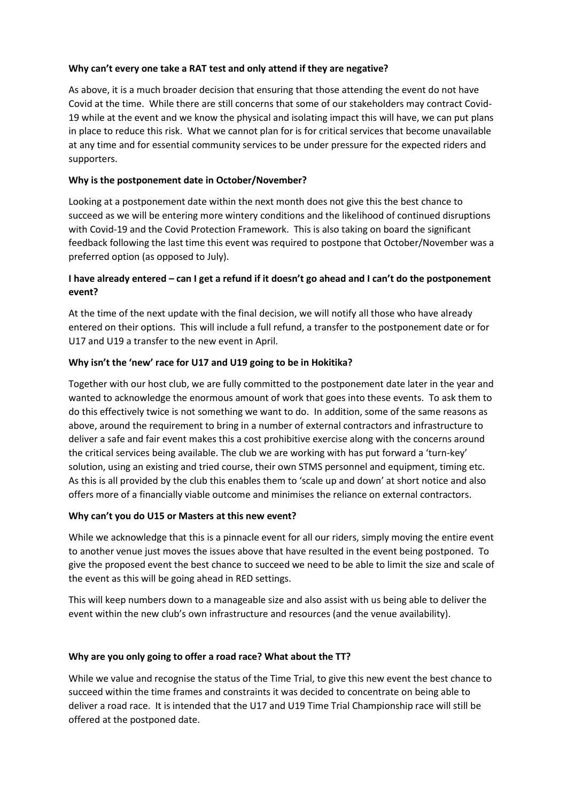### **Why can't every one take a RAT test and only attend if they are negative?**

As above, it is a much broader decision that ensuring that those attending the event do not have Covid at the time. While there are still concerns that some of our stakeholders may contract Covid-19 while at the event and we know the physical and isolating impact this will have, we can put plans in place to reduce this risk. What we cannot plan for is for critical services that become unavailable at any time and for essential community services to be under pressure for the expected riders and supporters.

### **Why is the postponement date in October/November?**

Looking at a postponement date within the next month does not give this the best chance to succeed as we will be entering more wintery conditions and the likelihood of continued disruptions with Covid-19 and the Covid Protection Framework. This is also taking on board the significant feedback following the last time this event was required to postpone that October/November was a preferred option (as opposed to July).

# **I have already entered – can I get a refund if it doesn't go ahead and I can't do the postponement event?**

At the time of the next update with the final decision, we will notify all those who have already entered on their options. This will include a full refund, a transfer to the postponement date or for U17 and U19 a transfer to the new event in April.

### **Why isn't the 'new' race for U17 and U19 going to be in Hokitika?**

Together with our host club, we are fully committed to the postponement date later in the year and wanted to acknowledge the enormous amount of work that goes into these events. To ask them to do this effectively twice is not something we want to do. In addition, some of the same reasons as above, around the requirement to bring in a number of external contractors and infrastructure to deliver a safe and fair event makes this a cost prohibitive exercise along with the concerns around the critical services being available. The club we are working with has put forward a 'turn-key' solution, using an existing and tried course, their own STMS personnel and equipment, timing etc. As this is all provided by the club this enables them to 'scale up and down' at short notice and also offers more of a financially viable outcome and minimises the reliance on external contractors.

#### **Why can't you do U15 or Masters at this new event?**

While we acknowledge that this is a pinnacle event for all our riders, simply moving the entire event to another venue just moves the issues above that have resulted in the event being postponed. To give the proposed event the best chance to succeed we need to be able to limit the size and scale of the event as this will be going ahead in RED settings.

This will keep numbers down to a manageable size and also assist with us being able to deliver the event within the new club's own infrastructure and resources (and the venue availability).

#### **Why are you only going to offer a road race? What about the TT?**

While we value and recognise the status of the Time Trial, to give this new event the best chance to succeed within the time frames and constraints it was decided to concentrate on being able to deliver a road race. It is intended that the U17 and U19 Time Trial Championship race will still be offered at the postponed date.